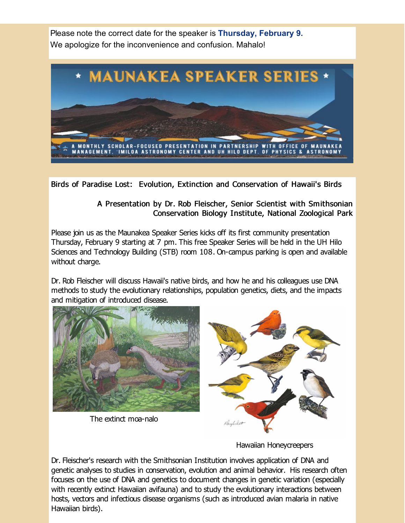Please note the correct date for the speaker is **Thursday, February 9.** We apologize for the inconvenience and confusion. Mahalo!



Birds of Paradise Lost: Evolution, Extinction and Conservation of Hawaii's Birds

## A Presentation by Dr. Rob Fleischer, Senior Scientist with Smithsonian Conservation Biology Institute, National Zoological Park

Please join us as the Maunakea Speaker Series kicks off its first community presentation Thursday, February 9 starting at 7 pm. This free Speaker Series will be held in the UH Hilo Sciences and Technology Building (STB) room 108. On-campus parking is open and available without charge.

Dr. Rob Fleischer will discuss Hawaii's native birds, and how he and his colleagues use DNA methods to study the evolutionary relationships, population genetics, diets, and the impacts and mitigation of introduced disease.



Hawaiian Honeycreepers

Dr. Fleischer's research with the Smithsonian Institution involves application of DNA and genetic analyses to studies in conservation, evolution and animal behavior. His research often focuses on the use of DNA and genetics to document changes in genetic variation (especially with recently extinct Hawaiian avifauna) and to study the evolutionary interactions between hosts, vectors and infectious disease organisms (such as introduced avian malaria in native Hawaiian birds).